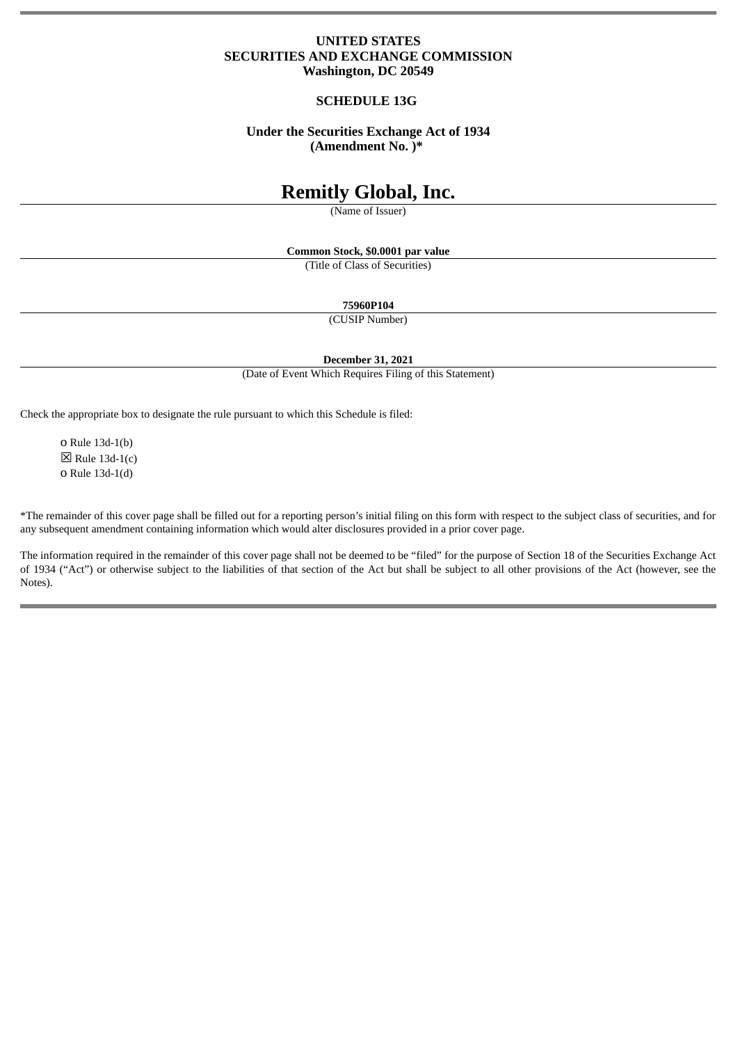# **UNITED STATES SECURITIES AND EXCHANGE COMMISSION Washington, DC 20549**

# **SCHEDULE 13G**

# **Under the Securities Exchange Act of 1934 (Amendment No. )\***

# **Remitly Global, Inc.**

(Name of Issuer)

**Common Stock, \$0.0001 par value**

(Title of Class of Securities)

**75960P104**

(CUSIP Number)

**December 31, 2021**

(Date of Event Which Requires Filing of this Statement)

Check the appropriate box to designate the rule pursuant to which this Schedule is filed:

o Rule 13d-1(b)  $\boxtimes$  Rule 13d-1(c) o Rule 13d-1(d)

\*The remainder of this cover page shall be filled out for a reporting person's initial filing on this form with respect to the subject class of securities, and for any subsequent amendment containing information which would alter disclosures provided in a prior cover page.

The information required in the remainder of this cover page shall not be deemed to be "filed" for the purpose of Section 18 of the Securities Exchange Act of 1934 ("Act") or otherwise subject to the liabilities of that section of the Act but shall be subject to all other provisions of the Act (however, see the Notes).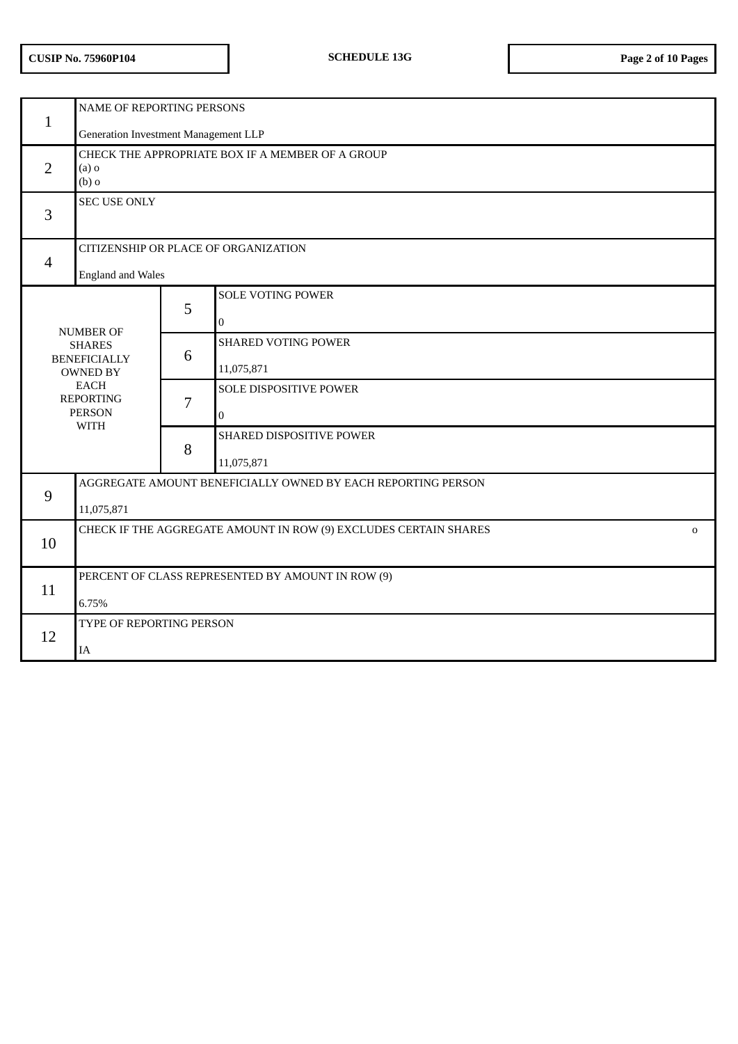| $\mathbf{1}$                                                                                                                                   | NAME OF REPORTING PERSONS                                                       |   |                                          |  |  |  |  |
|------------------------------------------------------------------------------------------------------------------------------------------------|---------------------------------------------------------------------------------|---|------------------------------------------|--|--|--|--|
|                                                                                                                                                | Generation Investment Management LLP                                            |   |                                          |  |  |  |  |
| $\overline{2}$                                                                                                                                 | CHECK THE APPROPRIATE BOX IF A MEMBER OF A GROUP<br>$(a)$ o<br>$(b)$ o          |   |                                          |  |  |  |  |
| 3                                                                                                                                              | <b>SEC USE ONLY</b>                                                             |   |                                          |  |  |  |  |
| $\overline{\mathcal{A}}$                                                                                                                       | CITIZENSHIP OR PLACE OF ORGANIZATION                                            |   |                                          |  |  |  |  |
|                                                                                                                                                | <b>England and Wales</b>                                                        |   |                                          |  |  |  |  |
| <b>NUMBER OF</b><br><b>SHARES</b><br><b>BENEFICIALLY</b><br><b>OWNED BY</b><br><b>EACH</b><br><b>REPORTING</b><br><b>PERSON</b><br><b>WITH</b> |                                                                                 | 5 | <b>SOLE VOTING POWER</b><br>$\mathbf{0}$ |  |  |  |  |
|                                                                                                                                                |                                                                                 | 6 | <b>SHARED VOTING POWER</b><br>11,075,871 |  |  |  |  |
|                                                                                                                                                |                                                                                 | 7 | SOLE DISPOSITIVE POWER<br>$\mathbf{0}$   |  |  |  |  |
|                                                                                                                                                |                                                                                 | 8 | SHARED DISPOSITIVE POWER<br>11,075,871   |  |  |  |  |
|                                                                                                                                                | AGGREGATE AMOUNT BENEFICIALLY OWNED BY EACH REPORTING PERSON                    |   |                                          |  |  |  |  |
| 9                                                                                                                                              | 11,075,871                                                                      |   |                                          |  |  |  |  |
| 10                                                                                                                                             | CHECK IF THE AGGREGATE AMOUNT IN ROW (9) EXCLUDES CERTAIN SHARES<br>$\mathbf 0$ |   |                                          |  |  |  |  |
| 11                                                                                                                                             | PERCENT OF CLASS REPRESENTED BY AMOUNT IN ROW (9)                               |   |                                          |  |  |  |  |
|                                                                                                                                                | 6.75%                                                                           |   |                                          |  |  |  |  |
| 12                                                                                                                                             | TYPE OF REPORTING PERSON                                                        |   |                                          |  |  |  |  |
|                                                                                                                                                | IA                                                                              |   |                                          |  |  |  |  |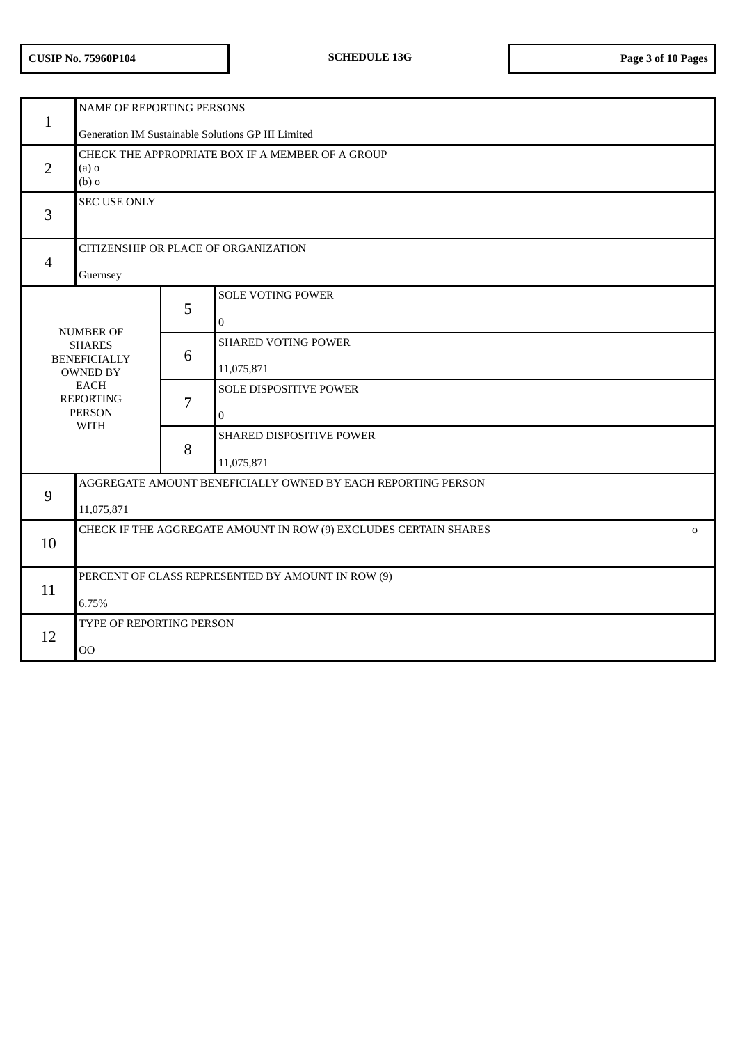| $\mathbf{1}$                                                                                                               | NAME OF REPORTING PERSONS<br>Generation IM Sustainable Solutions GP III Limited |   |                                          |  |  |  |
|----------------------------------------------------------------------------------------------------------------------------|---------------------------------------------------------------------------------|---|------------------------------------------|--|--|--|
| $\overline{2}$                                                                                                             | CHECK THE APPROPRIATE BOX IF A MEMBER OF A GROUP<br>$(a)$ o<br>$(b)$ o          |   |                                          |  |  |  |
| 3                                                                                                                          | <b>SEC USE ONLY</b>                                                             |   |                                          |  |  |  |
| $\overline{4}$                                                                                                             | CITIZENSHIP OR PLACE OF ORGANIZATION<br>Guernsey                                |   |                                          |  |  |  |
| <b>NUMBER OF</b>                                                                                                           |                                                                                 | 5 | <b>SOLE VOTING POWER</b><br>$\mathbf{0}$ |  |  |  |
| <b>SHARES</b><br><b>BENEFICIALLY</b><br><b>OWNED BY</b><br><b>EACH</b><br><b>REPORTING</b><br><b>PERSON</b><br><b>WITH</b> |                                                                                 | 6 | <b>SHARED VOTING POWER</b><br>11,075,871 |  |  |  |
|                                                                                                                            |                                                                                 | 7 | SOLE DISPOSITIVE POWER<br>$\mathbf 0$    |  |  |  |
|                                                                                                                            |                                                                                 | 8 | SHARED DISPOSITIVE POWER<br>11,075,871   |  |  |  |
| 9                                                                                                                          | AGGREGATE AMOUNT BENEFICIALLY OWNED BY EACH REPORTING PERSON<br>11,075,871      |   |                                          |  |  |  |
| 10                                                                                                                         | CHECK IF THE AGGREGATE AMOUNT IN ROW (9) EXCLUDES CERTAIN SHARES<br>$\mathbf 0$ |   |                                          |  |  |  |
| 11                                                                                                                         | PERCENT OF CLASS REPRESENTED BY AMOUNT IN ROW (9)<br>6.75%                      |   |                                          |  |  |  |
| 12                                                                                                                         | TYPE OF REPORTING PERSON<br>00                                                  |   |                                          |  |  |  |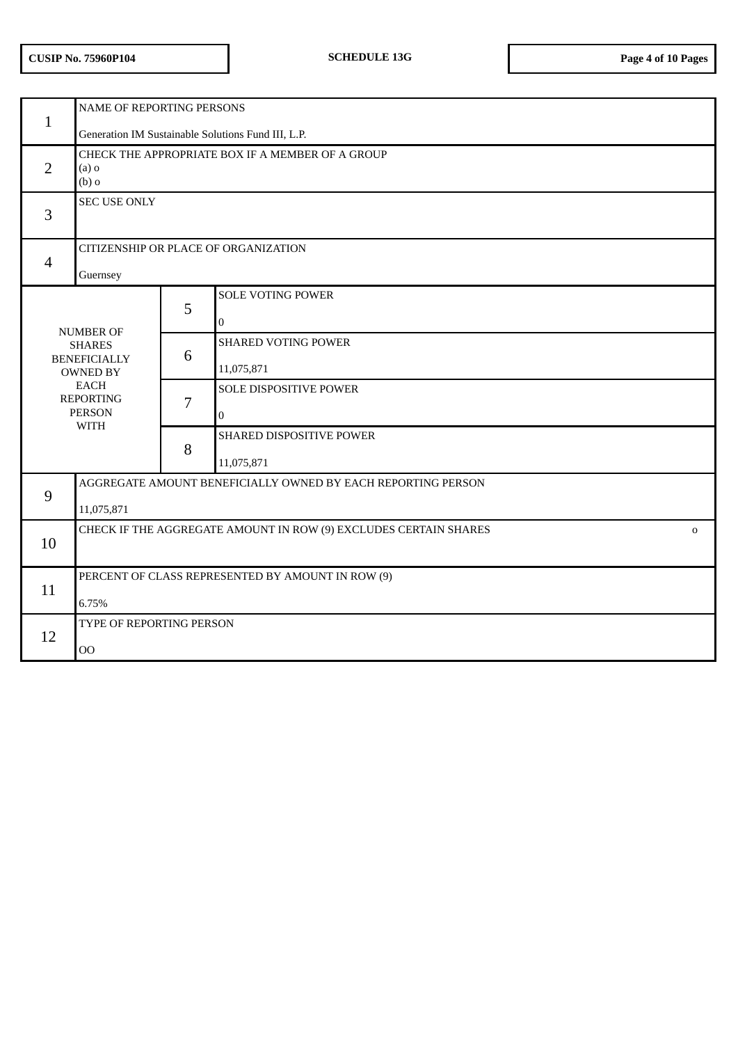| $\mathbf{1}$                                                                                                               | NAME OF REPORTING PERSONS                                                                                                    |   |                                          |  |  |  |  |
|----------------------------------------------------------------------------------------------------------------------------|------------------------------------------------------------------------------------------------------------------------------|---|------------------------------------------|--|--|--|--|
| $\overline{2}$                                                                                                             | Generation IM Sustainable Solutions Fund III, L.P.<br>CHECK THE APPROPRIATE BOX IF A MEMBER OF A GROUP<br>$(a)$ o<br>$(b)$ o |   |                                          |  |  |  |  |
| 3                                                                                                                          | <b>SEC USE ONLY</b>                                                                                                          |   |                                          |  |  |  |  |
| $\overline{4}$                                                                                                             | CITIZENSHIP OR PLACE OF ORGANIZATION<br>Guernsey                                                                             |   |                                          |  |  |  |  |
| <b>NUMBER OF</b>                                                                                                           |                                                                                                                              | 5 | <b>SOLE VOTING POWER</b><br>$\Omega$     |  |  |  |  |
| <b>SHARES</b><br><b>BENEFICIALLY</b><br><b>OWNED BY</b><br><b>EACH</b><br><b>REPORTING</b><br><b>PERSON</b><br><b>WITH</b> |                                                                                                                              | 6 | <b>SHARED VOTING POWER</b><br>11,075,871 |  |  |  |  |
|                                                                                                                            |                                                                                                                              | 7 | SOLE DISPOSITIVE POWER<br>$\mathbf{0}$   |  |  |  |  |
|                                                                                                                            |                                                                                                                              | 8 | SHARED DISPOSITIVE POWER<br>11,075,871   |  |  |  |  |
| 9                                                                                                                          | AGGREGATE AMOUNT BENEFICIALLY OWNED BY EACH REPORTING PERSON<br>11,075,871                                                   |   |                                          |  |  |  |  |
| 10                                                                                                                         | CHECK IF THE AGGREGATE AMOUNT IN ROW (9) EXCLUDES CERTAIN SHARES<br>$\mathbf 0$                                              |   |                                          |  |  |  |  |
| 11                                                                                                                         | PERCENT OF CLASS REPRESENTED BY AMOUNT IN ROW (9)<br>6.75%                                                                   |   |                                          |  |  |  |  |
| 12                                                                                                                         | TYPE OF REPORTING PERSON<br>00                                                                                               |   |                                          |  |  |  |  |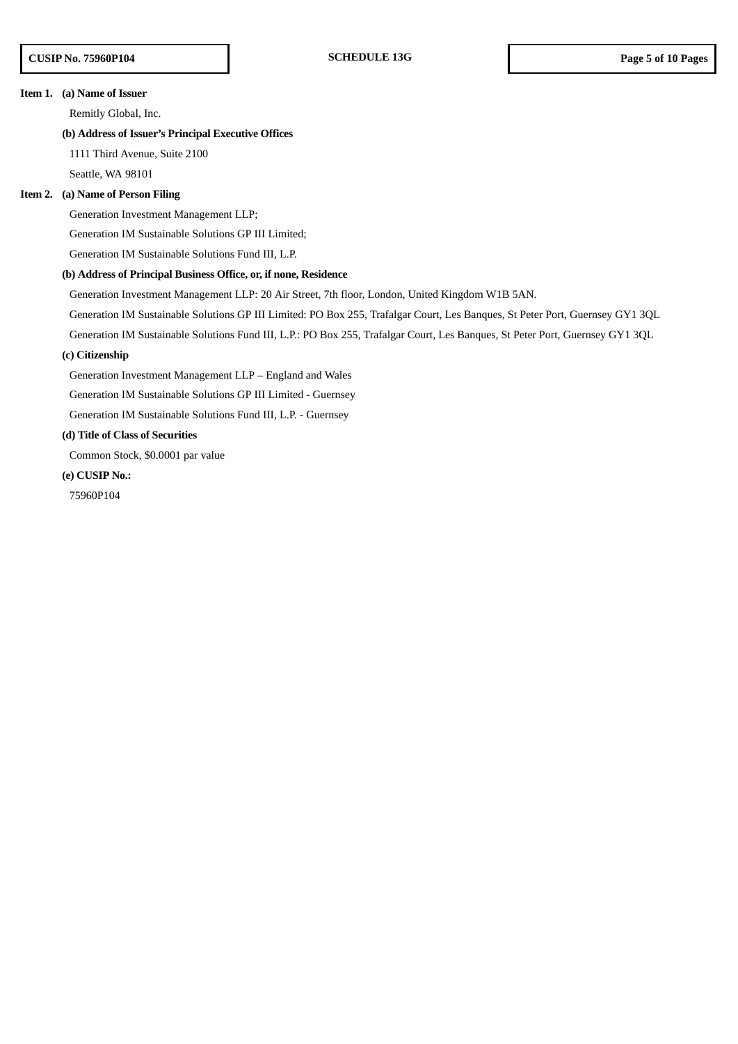#### **Item 1. (a) Name of Issuer**

Remitly Global, Inc.

### **(b) Address of Issuer's Principal Executive Offices**

1111 Third Avenue, Suite 2100

Seattle, WA 98101

#### **Item 2. (a) Name of Person Filing**

Generation Investment Management LLP;

Generation IM Sustainable Solutions GP III Limited;

Generation IM Sustainable Solutions Fund III, L.P.

#### **(b) Address of Principal Business Office, or, if none, Residence**

Generation Investment Management LLP: 20 Air Street, 7th floor, London, United Kingdom W1B 5AN.

Generation IM Sustainable Solutions GP III Limited: PO Box 255, Trafalgar Court, Les Banques, St Peter Port, Guernsey GY1 3QL

Generation IM Sustainable Solutions Fund III, L.P.: PO Box 255, Trafalgar Court, Les Banques, St Peter Port, Guernsey GY1 3QL

## **(c) Citizenship**

Generation Investment Management LLP – England and Wales

Generation IM Sustainable Solutions GP III Limited - Guernsey

Generation IM Sustainable Solutions Fund III, L.P. - Guernsey

# **(d) Title of Class of Securities**

Common Stock, \$0.0001 par value

**(e) CUSIP No.:**

75960P104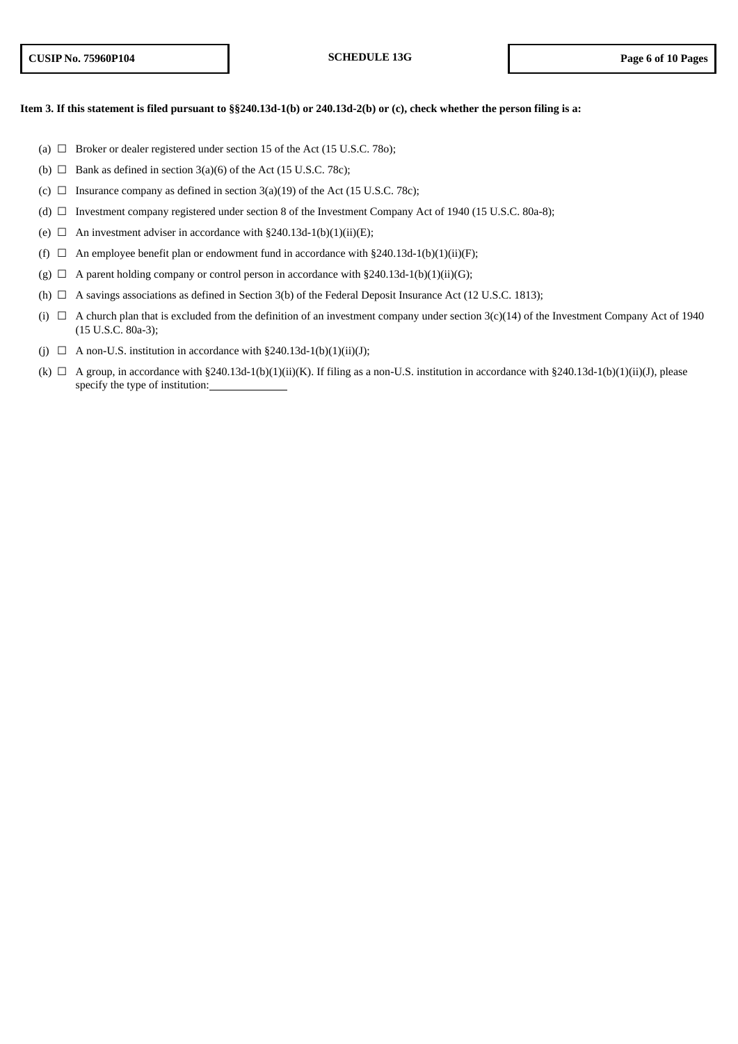### Item 3. If this statement is filed pursuant to §§240.13d-1(b) or 240.13d-2(b) or (c), check whether the person filing is a:

- (a)  $\Box$  Broker or dealer registered under section 15 of the Act (15 U.S.C. 78o);
- (b)  $\Box$  Bank as defined in section 3(a)(6) of the Act (15 U.S.C. 78c);
- (c)  $\Box$  Insurance company as defined in section 3(a)(19) of the Act (15 U.S.C. 78c);
- (d) ☐ Investment company registered under section 8 of the Investment Company Act of 1940 (15 U.S.C. 80a-8);
- (e)  $\Box$  An investment adviser in accordance with §240.13d-1(b)(1)(ii)(E);
- (f)  $\Box$  An employee benefit plan or endowment fund in accordance with §240.13d-1(b)(1)(ii)(F);
- (g)  $\Box$  A parent holding company or control person in accordance with §240.13d-1(b)(1)(ii)(G);
- (h)  $\Box$  A savings associations as defined in Section 3(b) of the Federal Deposit Insurance Act (12 U.S.C. 1813);
- (i)  $\Box$  A church plan that is excluded from the definition of an investment company under section 3(c)(14) of the Investment Company Act of 1940 (15 U.S.C. 80a-3);
- (j)  $\Box$  A non-U.S. institution in accordance with §240.13d-1(b)(1)(ii)(J);
- (k)  $\Box$  A group, in accordance with §240.13d-1(b)(1)(ii)(K). If filing as a non-U.S. institution in accordance with §240.13d-1(b)(1)(ii)(J), please specify the type of institution: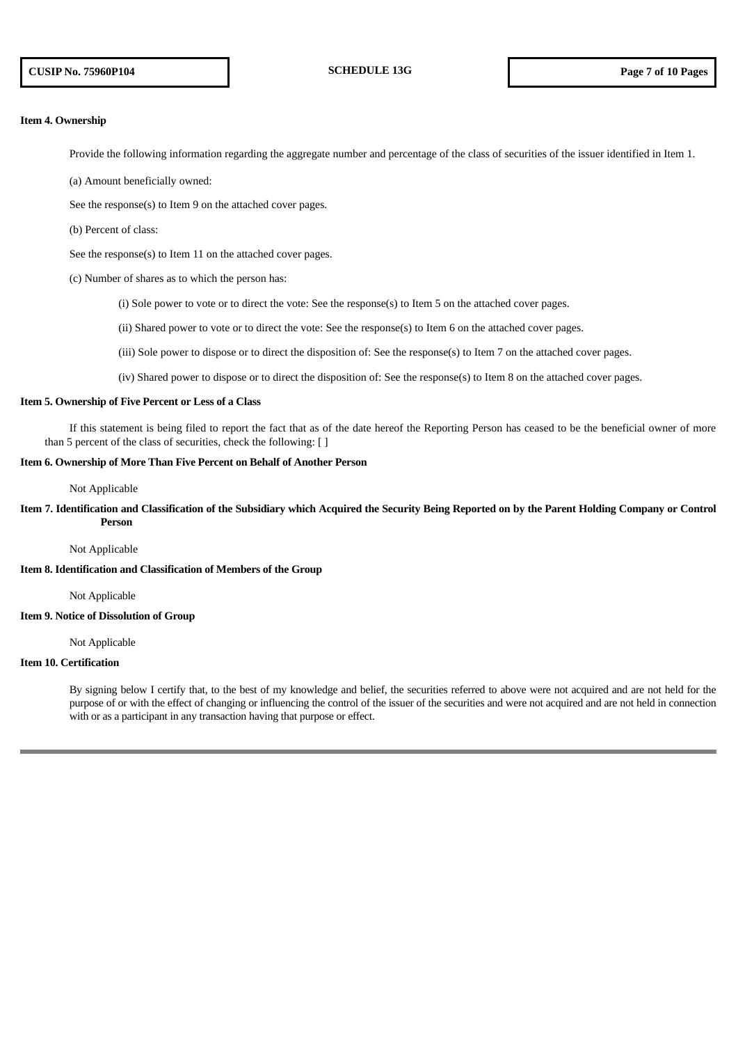#### **Item 4. Ownership**

Provide the following information regarding the aggregate number and percentage of the class of securities of the issuer identified in Item 1.

- (a) Amount beneficially owned:
- See the response(s) to Item 9 on the attached cover pages.
- (b) Percent of class:

See the response(s) to Item 11 on the attached cover pages.

- (c) Number of shares as to which the person has:
	- (i) Sole power to vote or to direct the vote: See the response(s) to Item 5 on the attached cover pages.
	- (ii) Shared power to vote or to direct the vote: See the response(s) to Item 6 on the attached cover pages.
	- (iii) Sole power to dispose or to direct the disposition of: See the response(s) to Item 7 on the attached cover pages.
	- (iv) Shared power to dispose or to direct the disposition of: See the response(s) to Item 8 on the attached cover pages.

#### **Item 5. Ownership of Five Percent or Less of a Class**

If this statement is being filed to report the fact that as of the date hereof the Reporting Person has ceased to be the beneficial owner of more than 5 percent of the class of securities, check the following: [ ]

### **Item 6. Ownership of More Than Five Percent on Behalf of Another Person**

Not Applicable

# Item 7. Identification and Classification of the Subsidiary which Acquired the Security Being Reported on by the Parent Holding Company or Control **Person**

Not Applicable

### **Item 8. Identification and Classification of Members of the Group**

Not Applicable

### **Item 9. Notice of Dissolution of Group**

Not Applicable

# **Item 10. Certification**

By signing below I certify that, to the best of my knowledge and belief, the securities referred to above were not acquired and are not held for the purpose of or with the effect of changing or influencing the control of the issuer of the securities and were not acquired and are not held in connection with or as a participant in any transaction having that purpose or effect.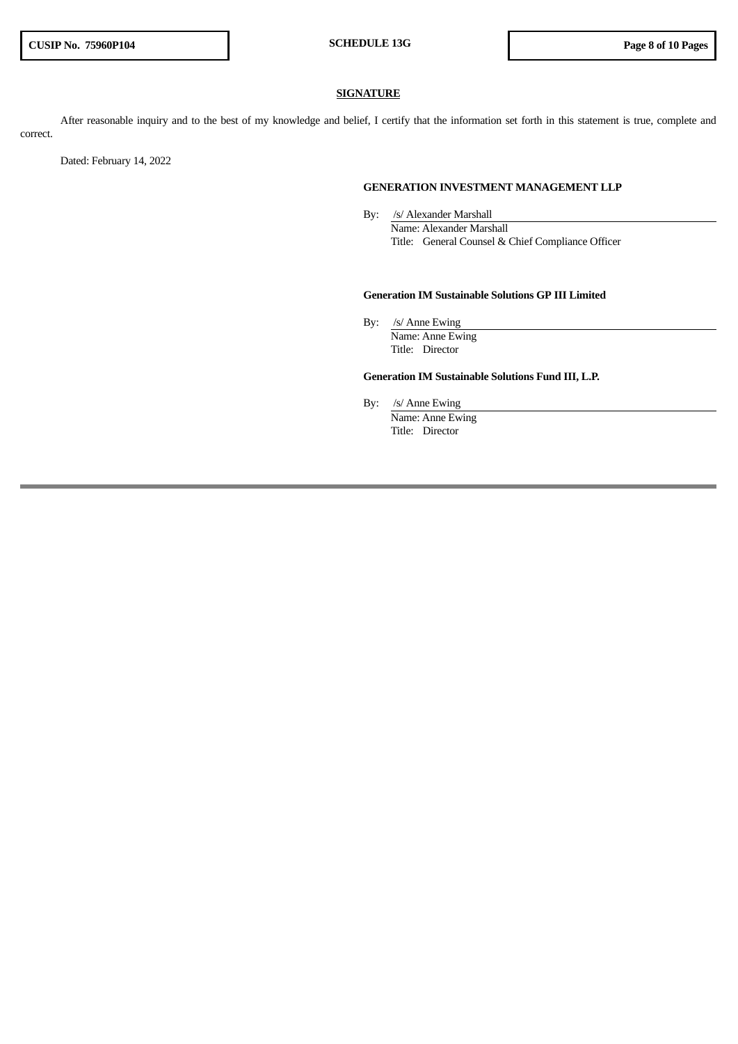### **SIGNATURE**

After reasonable inquiry and to the best of my knowledge and belief, I certify that the information set forth in this statement is true, complete and correct.

Dated: February 14, 2022

#### **GENERATION INVESTMENT MANAGEMENT LLP**

By: /s/ Alexander Marshall Name: Alexander Marshall Title: General Counsel & Chief Compliance Officer

#### **Generation IM Sustainable Solutions GP III Limited**

By: /s/ Anne Ewing Name: Anne Ewing Title: Director

### **Generation IM Sustainable Solutions Fund III, L.P.**

By: /s/ Anne Ewing

Name: Anne Ewing Title: Director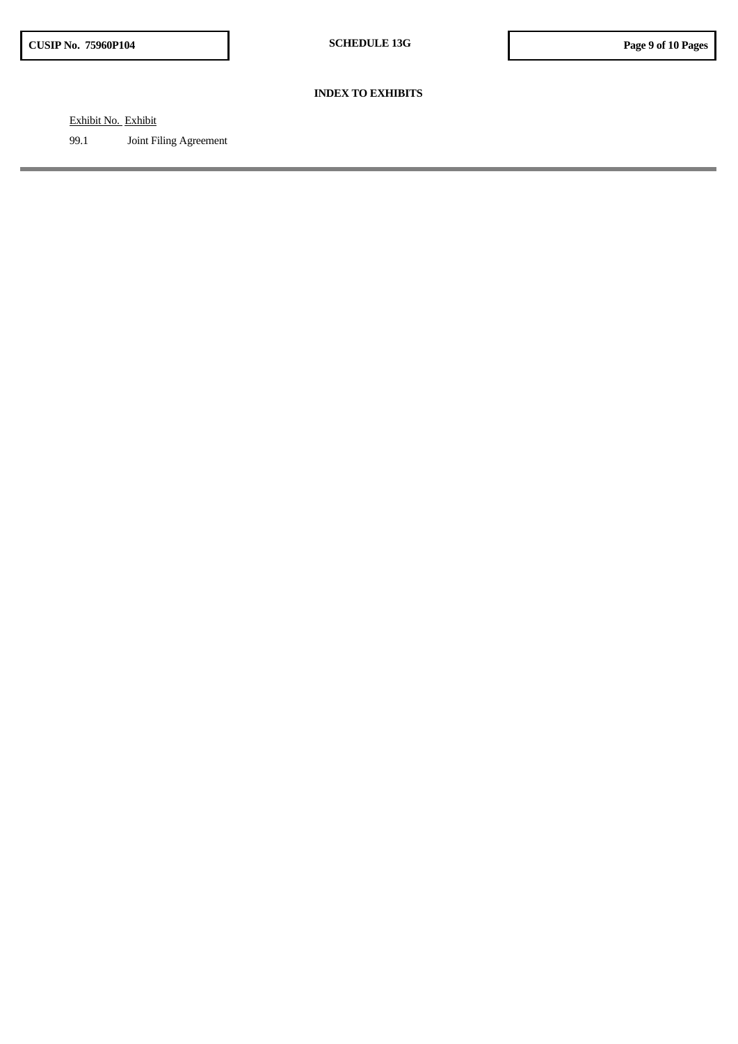### **INDEX TO EXHIBITS**

Exhibit No. Exhibit

99.1 Joint Filing Agreement